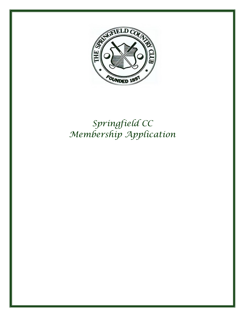

# *Springfield CC Membership Application*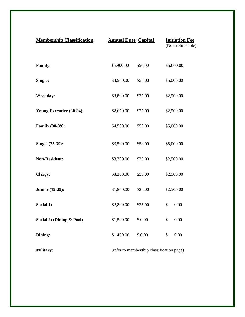| <b>Membership Classification</b> | <b>Annual Dues Capital</b>                | <b>Initiation Fee</b><br>(Non-refundable) |
|----------------------------------|-------------------------------------------|-------------------------------------------|
| <b>Family:</b>                   | \$5,900.00<br>\$50.00                     | \$5,000.00                                |
| Single:                          | \$4,500.00<br>\$50.00                     | \$5,000.00                                |
| <b>Weekday:</b>                  | \$3,800.00<br>\$35.00                     | \$2,500.00                                |
| Young Executive (30-34):         | \$25.00<br>\$2,650.00                     | \$2,500.00                                |
| Family (30-39):                  | \$4,500.00<br>\$50.00                     | \$5,000.00                                |
| Single (35-39):                  | \$3,500.00<br>\$50.00                     | \$5,000.00                                |
| <b>Non-Resident:</b>             | \$3,200.00<br>\$25.00                     | \$2,500.00                                |
| Clergy:                          | \$3,200.00<br>\$50.00                     | \$2,500.00                                |
| Junior (19-29):                  | \$1,800.00<br>\$25.00                     | \$2,500.00                                |
| Social 1:                        | \$2,800.00<br>\$25.00                     | \$<br>0.00                                |
| Social 2: (Dining & Pool)        | \$1,500.00<br>\$0.00                      | \$<br>0.00                                |
| Dining:                          | 400.00<br>\$0.00<br>$\mathbb{S}$          | 0.00<br>\$                                |
| Military:                        | (refer to membership classification page) |                                           |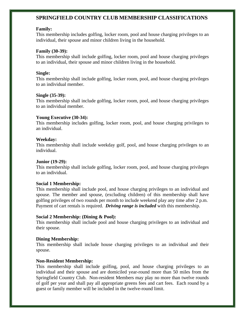# **SPRINGFIELD COUNTRY CLUB MEMBERSHIP CLASSIFICATIONS**

#### **Family:**

This membership includes golfing, locker room, pool and house charging privileges to an individual, their spouse and minor children living in the household.

#### **Family (30-39):**

This membership shall include golfing, locker room, pool and house charging privileges to an individual, their spouse and minor children living in the household.

#### **Single:**

This membership shall include golfing, locker room, pool, and house charging privileges to an individual member.

#### **Single (35-39):**

This membership shall include golfing, locker room, pool, and house charging privileges to an individual member.

#### **Young Executive (30-34):**

This membership includes golfing, locker room, pool, and house charging privileges to an individual.

#### **Weekday:**

This membership shall include weekday golf, pool, and house charging privileges to an individual.

#### **Junior (19-29):**

This membership shall include golfing, locker room, pool, and house charging privileges to an individual.

#### **Social 1 Membership:**

This membership shall include pool, and house charging privileges to an individual and spouse. The member and spouse, (excluding children) of this membership shall have golfing privileges of two rounds per month to include weekend play any time after 2 p.m. Payment of cart rentals is required. *Driving range is included* with this membership.

#### **Social 2 Membership: (Dining & Pool):**

This membership shall include pool and house charging privileges to an individual and their spouse.

#### **Dining Membership:**

This membership shall include house charging privileges to an individual and their spouse.

#### **Non-Resident Membership:**

This membership shall include golfing, pool, and house charging privileges to an individual and their spouse and are domiciled year-round more than 50 miles from the Springfield Country Club. Non-resident Members may play no more than twelve rounds of golf per year and shall pay all appropriate greens fees and cart fees. Each round by a guest or family member will be included in the twelve-round limit.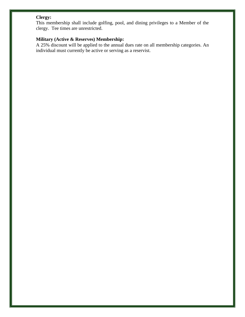# **Clergy:**

This membership shall include golfing, pool, and dining privileges to a Member of the clergy. Tee times are unrestricted.

## **Military (Active & Reserves) Membership:**

A 25% discount will be applied to the annual dues rate on all membership categories. An individual must currently be active or serving as a reservist.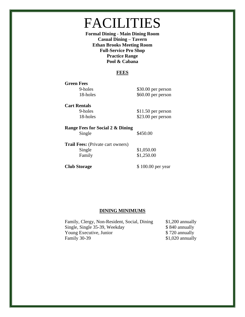# FACILITIES

**Formal Dining - Main Dining Room Casual Dining – Tavern Ethan Brooks Meeting Room Full-Service Pro Shop Practice Range Pool & Cabana**

### **FEES**

**Green Fees**

9-holes \$30.00 per person 18-holes \$60.00 per person

**Cart Rentals**

9-holes \$11.50 per person 18-holes \$23.00 per person

**Range Fees for Social 2 & Dining** Single \$450.00

**Trail Fees:** (Private cart owners) Single \$1,050.00 Family \$1,250.00

**Club Storage** \$100.00 per year

#### **DINING MINIMUMS**

Family, Clergy, Non-Resident, Social, Dining \$1,200 annually Single, Single 35-39, Weekday  $$ 840$  annually Young Executive, Junior  $$ 720$  annually Family 30-39 \$1,020 annually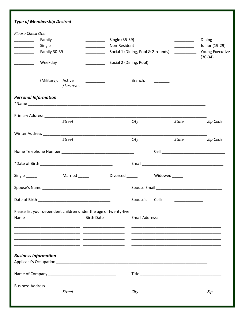| <b>Type of Membership Desired</b>                                                                                                                                                                                                                                                                                                                                                                                                                                                                                                                                                                                                                                                                            |                                                                                                 |                                                                                                                                                                                                                                                                                                                                                                                                                                                                                                                                                                                                                                                                                                                                                                                                                                                                                                                                 |
|--------------------------------------------------------------------------------------------------------------------------------------------------------------------------------------------------------------------------------------------------------------------------------------------------------------------------------------------------------------------------------------------------------------------------------------------------------------------------------------------------------------------------------------------------------------------------------------------------------------------------------------------------------------------------------------------------------------|-------------------------------------------------------------------------------------------------|---------------------------------------------------------------------------------------------------------------------------------------------------------------------------------------------------------------------------------------------------------------------------------------------------------------------------------------------------------------------------------------------------------------------------------------------------------------------------------------------------------------------------------------------------------------------------------------------------------------------------------------------------------------------------------------------------------------------------------------------------------------------------------------------------------------------------------------------------------------------------------------------------------------------------------|
| Please Check One:<br>Family<br><u> Albanya Manazarta</u><br><u> 1989 - John Barnett, fransk politiker</u><br>Single<br>Family 30-39<br><u> 1999 - Jan Jan Jawa</u><br>$\mathcal{L}_{\text{max}}$ and $\mathcal{L}_{\text{max}}$ . The set of $\mathcal{L}_{\text{max}}$<br>Weekday<br>$\begin{tabular}{ccccc} \multicolumn{2}{c }{\textbf{1} & \textbf{2} & \textbf{3} & \textbf{4} & \textbf{5} & \textbf{5} & \textbf{6} & \textbf{6} & \textbf{7} & \textbf{8} & \textbf{8} & \textbf{9} & \textbf{10} & \textbf{10} & \textbf{10} & \textbf{10} & \textbf{10} & \textbf{10} & \textbf{10} & \textbf{10} & \textbf{10} & \textbf{10} & \textbf{10} & \textbf{10} & \textbf{10} & \textbf{10} & \textbf{1$ | Single (35-39)<br>Non-Resident<br>Social 1 (Dining, Pool & 2-rounds)<br>Social 2 (Dining, Pool) | Dining<br>$\begin{tabular}{ccccc} \multicolumn{2}{c }{\textbf{1} & \textbf{2} & \textbf{3} & \textbf{4} & \textbf{5} & \textbf{5} & \textbf{6} & \textbf{7} & \textbf{8} & \textbf{9} & \textbf{10} & \textbf{10} & \textbf{10} & \textbf{10} & \textbf{10} & \textbf{10} & \textbf{10} & \textbf{10} & \textbf{10} & \textbf{10} & \textbf{10} & \textbf{10} & \textbf{10} & \textbf{10} & \textbf{10} & \textbf{10} & \textbf$<br>Junior (19-29)<br>_______________<br>Young Executive<br>$\begin{tabular}{ccccc} \multicolumn{2}{c }{\textbf{1} & \textbf{2} & \textbf{3} & \textbf{4} & \textbf{5} & \textbf{5} & \textbf{6} & \textbf{7} & \textbf{8} & \textbf{9} & \textbf{10} & \textbf{10} & \textbf{10} & \textbf{10} & \textbf{10} & \textbf{10} & \textbf{10} & \textbf{10} & \textbf{10} & \textbf{10} & \textbf{10} & \textbf{10} & \textbf{10} & \textbf{10} & \textbf{10} & \textbf{10} & \textbf$<br>$(30-34)$ |
| (Military): Active<br><u> De Carlos de Carlos de Carlos de Carlos de Carlos de Carlos de Carlos de Carlos de Carlos de Carlos de Carlos de Carlos de Carlos de Carlos de Carlos de Carlos de Carlos de Carlos de Carlos de Carlos de Carlos de Carlos </u><br>/Reserves                                                                                                                                                                                                                                                                                                                                                                                                                                      | Branch:                                                                                         |                                                                                                                                                                                                                                                                                                                                                                                                                                                                                                                                                                                                                                                                                                                                                                                                                                                                                                                                 |
| <b>Personal Information</b>                                                                                                                                                                                                                                                                                                                                                                                                                                                                                                                                                                                                                                                                                  |                                                                                                 |                                                                                                                                                                                                                                                                                                                                                                                                                                                                                                                                                                                                                                                                                                                                                                                                                                                                                                                                 |
| <b>Street</b>                                                                                                                                                                                                                                                                                                                                                                                                                                                                                                                                                                                                                                                                                                | City                                                                                            | Zip Code<br>State                                                                                                                                                                                                                                                                                                                                                                                                                                                                                                                                                                                                                                                                                                                                                                                                                                                                                                               |
| <b>Street</b>                                                                                                                                                                                                                                                                                                                                                                                                                                                                                                                                                                                                                                                                                                | City                                                                                            | Zip Code<br>State                                                                                                                                                                                                                                                                                                                                                                                                                                                                                                                                                                                                                                                                                                                                                                                                                                                                                                               |
|                                                                                                                                                                                                                                                                                                                                                                                                                                                                                                                                                                                                                                                                                                              |                                                                                                 |                                                                                                                                                                                                                                                                                                                                                                                                                                                                                                                                                                                                                                                                                                                                                                                                                                                                                                                                 |
|                                                                                                                                                                                                                                                                                                                                                                                                                                                                                                                                                                                                                                                                                                              |                                                                                                 |                                                                                                                                                                                                                                                                                                                                                                                                                                                                                                                                                                                                                                                                                                                                                                                                                                                                                                                                 |
| Single _______                                                                                                                                                                                                                                                                                                                                                                                                                                                                                                                                                                                                                                                                                               |                                                                                                 |                                                                                                                                                                                                                                                                                                                                                                                                                                                                                                                                                                                                                                                                                                                                                                                                                                                                                                                                 |
|                                                                                                                                                                                                                                                                                                                                                                                                                                                                                                                                                                                                                                                                                                              |                                                                                                 |                                                                                                                                                                                                                                                                                                                                                                                                                                                                                                                                                                                                                                                                                                                                                                                                                                                                                                                                 |
|                                                                                                                                                                                                                                                                                                                                                                                                                                                                                                                                                                                                                                                                                                              | Spouse's<br>Cell:                                                                               | $\overline{\phantom{a}}$ . The contract of the contract of $\overline{\phantom{a}}$                                                                                                                                                                                                                                                                                                                                                                                                                                                                                                                                                                                                                                                                                                                                                                                                                                             |
| Please list your dependent children under the age of twenty-five.<br><b>Birth Date</b><br>Name                                                                                                                                                                                                                                                                                                                                                                                                                                                                                                                                                                                                               | <b>Email Address:</b>                                                                           |                                                                                                                                                                                                                                                                                                                                                                                                                                                                                                                                                                                                                                                                                                                                                                                                                                                                                                                                 |
|                                                                                                                                                                                                                                                                                                                                                                                                                                                                                                                                                                                                                                                                                                              |                                                                                                 | <u> 1989 - Johann Harry Harry Harry Harry Harry Harry Harry Harry Harry Harry Harry Harry Harry Harry Harry Harry</u>                                                                                                                                                                                                                                                                                                                                                                                                                                                                                                                                                                                                                                                                                                                                                                                                           |
| <b>Business Information</b>                                                                                                                                                                                                                                                                                                                                                                                                                                                                                                                                                                                                                                                                                  |                                                                                                 |                                                                                                                                                                                                                                                                                                                                                                                                                                                                                                                                                                                                                                                                                                                                                                                                                                                                                                                                 |
|                                                                                                                                                                                                                                                                                                                                                                                                                                                                                                                                                                                                                                                                                                              |                                                                                                 |                                                                                                                                                                                                                                                                                                                                                                                                                                                                                                                                                                                                                                                                                                                                                                                                                                                                                                                                 |
| <b>Street</b>                                                                                                                                                                                                                                                                                                                                                                                                                                                                                                                                                                                                                                                                                                | City                                                                                            | Zip                                                                                                                                                                                                                                                                                                                                                                                                                                                                                                                                                                                                                                                                                                                                                                                                                                                                                                                             |
|                                                                                                                                                                                                                                                                                                                                                                                                                                                                                                                                                                                                                                                                                                              |                                                                                                 |                                                                                                                                                                                                                                                                                                                                                                                                                                                                                                                                                                                                                                                                                                                                                                                                                                                                                                                                 |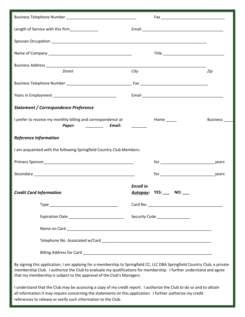| Length of Service with this firm_____________                                                                                                                                                                                                                                                                             |                  |                                |               |  |
|---------------------------------------------------------------------------------------------------------------------------------------------------------------------------------------------------------------------------------------------------------------------------------------------------------------------------|------------------|--------------------------------|---------------|--|
|                                                                                                                                                                                                                                                                                                                           |                  |                                |               |  |
|                                                                                                                                                                                                                                                                                                                           |                  |                                |               |  |
|                                                                                                                                                                                                                                                                                                                           |                  |                                |               |  |
| <b>Street</b>                                                                                                                                                                                                                                                                                                             | City             |                                | Zip           |  |
|                                                                                                                                                                                                                                                                                                                           |                  |                                |               |  |
|                                                                                                                                                                                                                                                                                                                           |                  |                                |               |  |
| <b>Statement / Correspondence Preference</b>                                                                                                                                                                                                                                                                              |                  |                                |               |  |
| I prefer to receive my monthly billing and correspondence at<br><b>Email:</b> Email:<br>Paper:                                                                                                                                                                                                                            |                  | Home ______                    | Business ____ |  |
| <b>Reference Information</b>                                                                                                                                                                                                                                                                                              |                  |                                |               |  |
| I am acquainted with the following Springfield Country Club Members:                                                                                                                                                                                                                                                      |                  |                                |               |  |
|                                                                                                                                                                                                                                                                                                                           |                  |                                |               |  |
|                                                                                                                                                                                                                                                                                                                           |                  |                                |               |  |
| <b>Credit Card Information</b>                                                                                                                                                                                                                                                                                            | <b>Enroll in</b> | Autopay: YES: ___ NO: __       |               |  |
|                                                                                                                                                                                                                                                                                                                           |                  |                                |               |  |
|                                                                                                                                                                                                                                                                                                                           |                  | Security Code ________________ |               |  |
|                                                                                                                                                                                                                                                                                                                           |                  |                                |               |  |
|                                                                                                                                                                                                                                                                                                                           |                  |                                |               |  |
|                                                                                                                                                                                                                                                                                                                           |                  |                                |               |  |
| By signing this application, I am applying for a membership to Springfield CC, LLC DBA Springfield Country Club, a private<br>membership Club. I authorize the Club to evaluate my qualifications for membership. I further understand and agree<br>that my membership is subject to the approval of the Club's Managers. |                  |                                |               |  |
| I understand that the Club may be accessing a copy of my credit report. I authorize the Club to do so and to obtain<br>all information it may require concerning the statements on this application. I further authorize my credit<br>references to release or verify such information to the Club.                       |                  |                                |               |  |